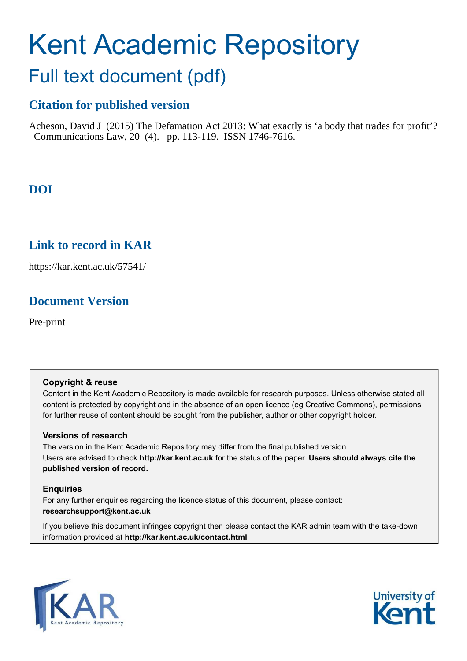# Kent Academic Repository

## Full text document (pdf)

## **Citation for published version**

Acheson, David J (2015) The Defamation Act 2013: What exactly is 'a body that trades for profit'? Communications Law, 20 (4). pp. 113-119. ISSN 1746-7616.

## **DOI**

### **Link to record in KAR**

https://kar.kent.ac.uk/57541/

## **Document Version**

Pre-print

#### **Copyright & reuse**

Content in the Kent Academic Repository is made available for research purposes. Unless otherwise stated all content is protected by copyright and in the absence of an open licence (eg Creative Commons), permissions for further reuse of content should be sought from the publisher, author or other copyright holder.

#### **Versions of research**

The version in the Kent Academic Repository may differ from the final published version. Users are advised to check **http://kar.kent.ac.uk** for the status of the paper. **Users should always cite the published version of record.**

#### **Enquiries**

For any further enquiries regarding the licence status of this document, please contact: **researchsupport@kent.ac.uk**

If you believe this document infringes copyright then please contact the KAR admin team with the take-down information provided at **http://kar.kent.ac.uk/contact.html**



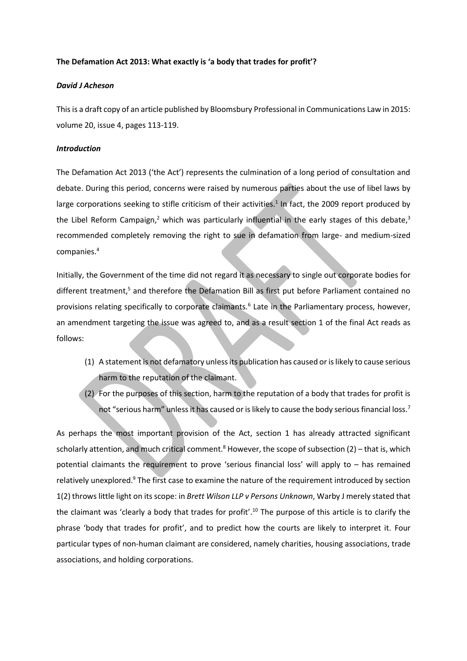#### The Defamation Act 2013: What exactly is 'a body that trades for profit'?

#### *David J Acheson*

This is a draft copy of an article published by Bloomsbury Professional in Communications Law in 2015: volume 20, issue 4, pages 113-119.

#### *Introduction*

The Defamation Act 2013 ('the Act') represents the culmination of a long period of consultation and debate. During this period, concerns were raised by numerous parties about the use of libel laws by large corporations seeking to stifle criticism of their activities.<sup>1</sup> In fact, the 2009 report produced by the Libel Reform Campaign,<sup>2</sup> which was particularly influential in the early stages of this debate,<sup>3</sup> recommended completely removing the right to sue in defamation from large- and medium-sized companies.<sup>4</sup>

Initially, the Government of the time did not regard it as necessary to single out corporate bodies for different treatment,<sup>5</sup> and therefore the Defamation Bill as first put before Parliament contained no provisions relating specifically to corporate claimants.<sup>6</sup> Late in the Parliamentary process, however, an amendment targeting the issue was agreed to, and as a result section 1 of the final Act reads as follows:

- (1) A statement is not defamatory unless its publication has caused or is likely to cause serious harm to the reputation of the claimant.
- (2) For the purposes of this section, harm to the reputation of a body that trades for profit is not "serious harm" unless it has caused or is likely to cause the body serious financial loss.<sup>7</sup>

As perhaps the most important provision of the Act, section 1 has already attracted significant scholarly attention, and much critical comment.<sup>8</sup> However, the scope of subsection (2) – that is, which potential claimants the requirement to prove 'serious financial loss' will apply to - has remained relatively unexplored.<sup>9</sup> The first case to examine the nature of the requirement introduced by section 1(2) throws little light on its scope: in *Brett Wilson LLP v Persons Unknown*, Warby J merely stated that the claimant was 'clearly a body that trades for profit'.<sup>10</sup> The purpose of this article is to clarify the phrase 'body that trades for profit', and to predict how the courts are likely to interpret it. Four particular types of non-human claimant are considered, namely charities, housing associations, trade associations, and holding corporations.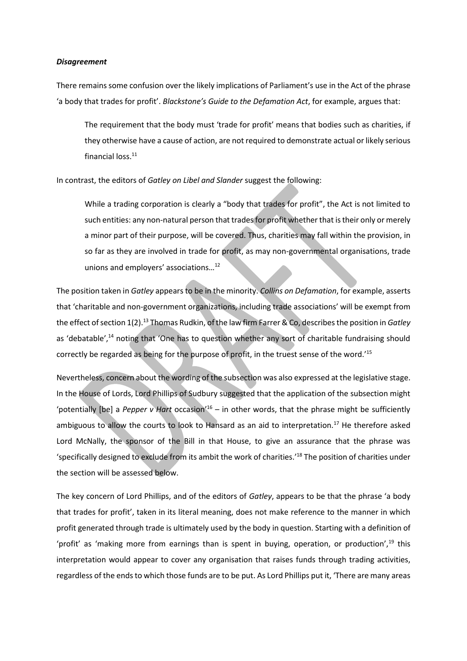#### *Disagreement*

There remains some confusion over the likely implications of Parliament's use in the Act of the phrase 'a body that trades for profit'. *Blackstone's Guide to the Defamation Act*, for example, argues that:

The requirement that the body must 'trade for profit' means that bodies such as charities, if they otherwise have a cause of action, are not required to demonstrate actual or likely serious financial loss.<sup>11</sup>

In contrast, the editors of *Gatley on Libel and Slander* suggest the following:

While a trading corporation is clearly a "body that trades for profit", the Act is not limited to such entities: any non-natural person that trades for profit whether that is their only or merely a minor part of their purpose, will be covered. Thus, charities may fall within the provision, in so far as they are involved in trade for profit, as may non-governmental organisations, trade unions and employers' associations...<sup>12</sup>

The position taken in *Gatley* appears to be in the minority. *Collins on Defamation*, for example, asserts that 'charitable and non-government organizations, including trade associations' will be exempt from the effect of section 1(2).<sup>13</sup> Thomas Rudkin, of the law firm Farrer & Co, describes the position in *Gatley* as 'debatable',<sup>14</sup> noting that 'One has to question whether any sort of charitable fundraising should correctly be regarded as being for the purpose of profit, in the truest sense of the word.<sup>15</sup>

Nevertheless, concern about the wording of the subsection was also expressed at the legislative stage. In the House of Lords, Lord Phillips of Sudbury suggested that the application of the subsection might 'potentially [be] a *Pepper v Hart* occasion<sup>'16</sup> – in other words, that the phrase might be sufficiently ambiguous to allow the courts to look to Hansard as an aid to interpretation.<sup>17</sup> He therefore asked Lord McNally, the sponsor of the Bill in that House, to give an assurance that the phrase was 'specifically designed to exclude from its ambit the work of charities.'<sup>18</sup> The position of charities under the section will be assessed below.

The key concern of Lord Phillips, and of the editors of *Gatley*, appears to be that the phrase 'a body that trades for profit', taken in its literal meaning, does not make reference to the manner in which profit generated through trade is ultimately used by the body in question. Starting with a definition of "profit" as 'making more from earnings than is spent in buying, operation, or production",<sup>19</sup> this interpretation would appear to cover any organisation that raises funds through trading activities, regardless of the ends to which those funds are to be put. As Lord Phillips put it, 'There are many areas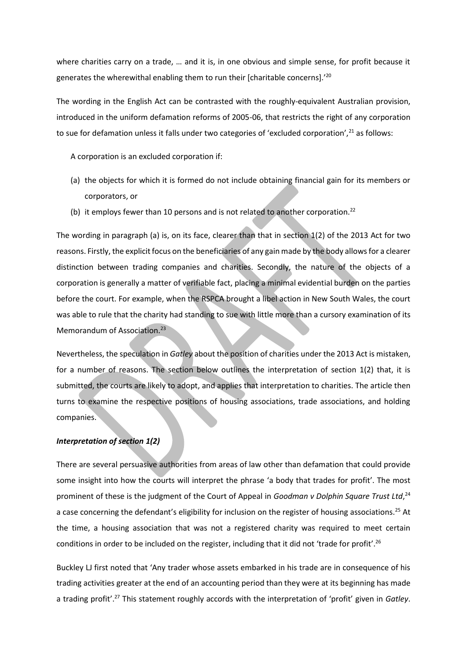where charities carry on a trade, ... and it is, in one obvious and simple sense, for profit because it generates the wherewithal enabling them to run their [charitable concerns].<sup>20</sup>

The wording in the English Act can be contrasted with the roughly-equivalent Australian provision, introduced in the uniform defamation reforms of 2005-06, that restricts the right of any corporation to sue for defamation unless it falls under two categories of 'excluded corporation',<sup>21</sup> as follows:

A corporation is an excluded corporation if:

- (a) the objects for which it is formed do not include obtaining financial gain for its members or corporators, or
- (b) it employs fewer than 10 persons and is not related to another corporation.<sup>22</sup>

The wording in paragraph (a) is, on its face, clearer than that in section 1(2) of the 2013 Act for two reasons. Firstly, the explicit focus on the beneficiaries of any gain made by the body allows for a clearer distinction between trading companies and charities. Secondly, the nature of the objects of a corporation is generally a matter of verifiable fact, placing a minimal evidential burden on the parties before the court. For example, when the RSPCA brought a libel action in New South Wales, the court was able to rule that the charity had standing to sue with little more than a cursory examination of its Memorandum of Association.<sup>23</sup>

Nevertheless, the speculation in *Gatley* about the position of charities under the 2013 Act is mistaken, for a number of reasons. The section below outlines the interpretation of section 1(2) that, it is submitted, the courts are likely to adopt, and applies that interpretation to charities. The article then turns to examine the respective positions of housing associations, trade associations, and holding companies.

#### *Interpretation of section 1(2)*

There are several persuasive authorities from areas of law other than defamation that could provide some insight into how the courts will interpret the phrase 'a body that trades for profit'. The most prominent of these is the judgment of the Court of Appeal in *Goodman v Dolphin Square Trust Ltd*, 24 a case concerning the defendant's eligibility for inclusion on the register of housing associations.<sup>25</sup> At the time, a housing association that was not a registered charity was required to meet certain conditions in order to be included on the register, including that it did not 'trade for profit'.<sup>26</sup>

Buckley LJ first noted that 'Any trader whose assets embarked in his trade are in consequence of his trading activities greater at the end of an accounting period than they were at its beginning has made a trading profit'.<sup>27</sup> This statement roughly accords with the interpretation of 'profit' given in Gatley.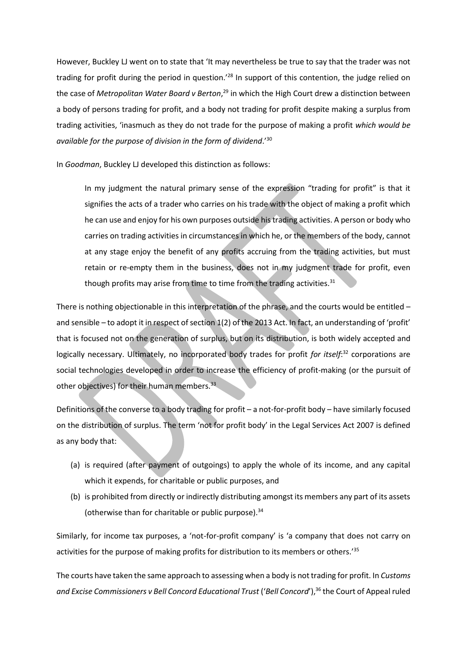However, Buckley LJ went on to state that 'It may nevertheless be true to say that the trader was not trading for profit during the period in question.'<sup>28</sup> In support of this contention, the judge relied on the case of *Metropolitan Water Board v Berton*, <sup>29</sup> in which the High Court drew a distinction between a body of persons trading for profit, and a body not trading for profit despite making a surplus from trading activities, 'inasmuch as they do not trade for the purpose of making a profit which would be *available for the purpose of division in the form of dividend.*<sup>30</sup>

In *Goodman*, Buckley LJ developed this distinction as follows:

In my judgment the natural primary sense of the expression "trading for profit" is that it signifies the acts of a trader who carries on his trade with the object of making a profit which he can use and enjoy for his own purposes outside his trading activities. A person or body who carries on trading activities in circumstances in which he, or the members of the body, cannot at any stage enjoy the benefit of any profits accruing from the trading activities, but must retain or re-empty them in the business, does not in my judgment trade for profit, even though profits may arise from time to time from the trading activities. $31$ 

There is nothing objectionable in this interpretation of the phrase, and the courts would be entitled  $$ and sensible - to adopt it in respect of section 1(2) of the 2013 Act. In fact, an understanding of 'profit' that is focused not on the generation of surplus, but on its distribution, is both widely accepted and logically necessary. Ultimately, no incorporated body trades for profit for itself:<sup>32</sup> corporations are social technologies developed in order to increase the efficiency of profit-making (or the pursuit of other objectives) for their human members.<sup>33</sup>

Definitions of the converse to a body trading for profit - a not-for-profit body - have similarly focused on the distribution of surplus. The term 'not for profit body' in the Legal Services Act 2007 is defined as any body that:

- (a) is required (after payment of outgoings) to apply the whole of its income, and any capital which it expends, for charitable or public purposes, and
- (b) is prohibited from directly or indirectly distributing amongst its members any part of its assets (otherwise than for charitable or public purpose). $34$

Similarly, for income tax purposes, a 'not-for-profit company' is 'a company that does not carry on activities for the purpose of making profits for distribution to its members or others.<sup>'35</sup>

The courts have taken the same approach to assessing when a body is not trading for profit. In *Customs and Excise Commissioners v Bell Concord Educational Trust* ('Bell Concord'),<sup>36</sup> the Court of Appeal ruled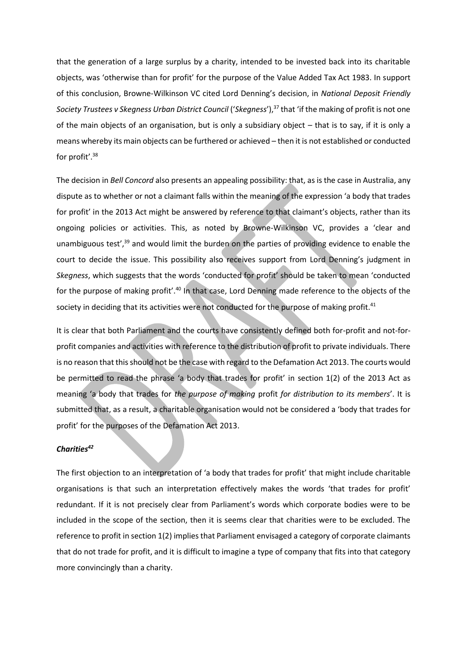that the generation of a large surplus by a charity, intended to be invested back into its charitable objects, was 'otherwise than for profit' for the purpose of the Value Added Tax Act 1983. In support of this conclusion, Browne-Wilkinson VC cited Lord Denning's decision, in National Deposit Friendly Society Trustees v Skegness Urban District Council ('Skegness'),<sup>37</sup> that 'if the making of profit is not one of the main objects of an organisation, but is only a subsidiary object  $-$  that is to say, if it is only a means whereby its main objects can be furthered or achieved - then it is not established or conducted for profit'. $38$ 

The decision in *Bell Concord* also presents an appealing possibility: that, as is the case in Australia, any dispute as to whether or not a claimant falls within the meaning of the expression 'a body that trades for profit' in the 2013 Act might be answered by reference to that claimant's objects, rather than its ongoing policies or activities. This, as noted by Browne-Wilkinson VC, provides a 'clear and unambiguous test', $39$  and would limit the burden on the parties of providing evidence to enable the court to decide the issue. This possibility also receives support from Lord Denning's judgment in Skegness, which suggests that the words 'conducted for profit' should be taken to mean 'conducted for the purpose of making profit'.<sup>40</sup> In that case, Lord Denning made reference to the objects of the society in deciding that its activities were not conducted for the purpose of making profit.<sup>41</sup>

It is clear that both Parliament and the courts have consistently defined both for-profit and not-forprofit companies and activities with reference to the distribution of profit to private individuals. There is no reason that this should not be the case with regard to the Defamation Act 2013. The courts would be permitted to read the phrase 'a body that trades for profit' in section 1(2) of the 2013 Act as meaning 'a body that trades for the purpose of making profit for distribution to its members'. It is submitted that, as a result, a charitable organisation would not be considered a 'body that trades for profit' for the purposes of the Defamation Act 2013.

#### *Charities<sup>42</sup>*

The first objection to an interpretation of 'a body that trades for profit' that might include charitable organisations is that such an interpretation effectively makes the words 'that trades for profit' redundant. If it is not precisely clear from Parliament's words which corporate bodies were to be included in the scope of the section, then it is seems clear that charities were to be excluded. The reference to profit in section 1(2) implies that Parliament envisaged a category of corporate claimants that do not trade for profit, and it is difficult to imagine a type of company that fits into that category more convincingly than a charity.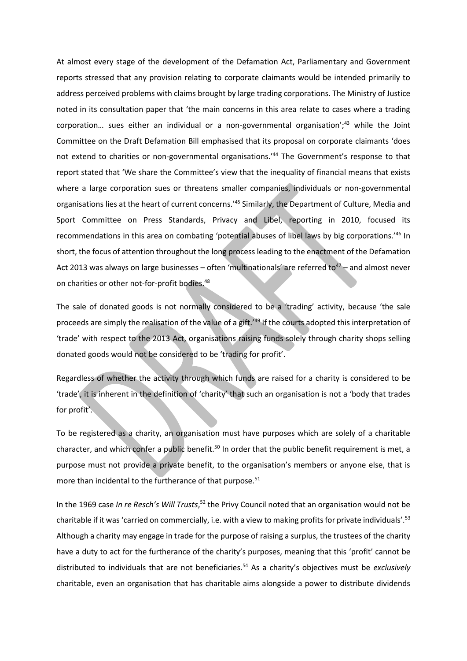At almost every stage of the development of the Defamation Act, Parliamentary and Government reports stressed that any provision relating to corporate claimants would be intended primarily to address perceived problems with claims brought by large trading corporations. The Ministry of Justice noted in its consultation paper that 'the main concerns in this area relate to cases where a trading corporation... sues either an individual or a non-governmental organisation';<sup>43</sup> while the Joint Committee on the Draft Defamation Bill emphasised that its proposal on corporate claimants 'does not extend to charities or non-governmental organisations.<sup>144</sup> The Government's response to that report stated that 'We share the Committee's view that the inequality of financial means that exists where a large corporation sues or threatens smaller companies, individuals or non-governmental organisations lies at the heart of current concerns.<sup>745</sup> Similarly, the Department of Culture, Media and Sport Committee on Press Standards, Privacy and Libel, reporting in 2010, focused its recommendations in this area on combating 'potential abuses of libel laws by big corporations.<sup>146</sup> In short, the focus of attention throughout the long process leading to the enactment of the Defamation Act 2013 was always on large businesses – often 'multinationals' are referred to<sup>47</sup> – and almost never on charities or other not-for-profit bodies.<sup>48</sup>

The sale of donated goods is not normally considered to be a 'trading' activity, because 'the sale proceeds are simply the realisation of the value of a gift.<sup>149</sup> If the courts adopted this interpretation of 'trade' with respect to the 2013 Act, organisations raising funds solely through charity shops selling donated goods would not be considered to be 'trading for profit'.

Regardless of whether the activity through which funds are raised for a charity is considered to be 'trade', it is inherent in the definition of 'charity' that such an organisation is not a 'body that trades for profit'.

To be registered as a charity, an organisation must have purposes which are solely of a charitable character, and which confer a public benefit.<sup>50</sup> In order that the public benefit requirement is met, a purpose must not provide a private benefit, to the organisation's members or anyone else, that is more than incidental to the furtherance of that purpose.<sup>51</sup>

In the 1969 case *In re Resch's Will Trusts*,<sup>52</sup> the Privy Council noted that an organisation would not be charitable if it was 'carried on commercially, i.e. with a view to making profits for private individuals'.<sup>53</sup> Although a charity may engage in trade for the purpose of raising a surplus, the trustees of the charity have a duty to act for the furtherance of the charity's purposes, meaning that this 'profit' cannot be distributed to individuals that are not beneficiaries.<sup>54</sup> As a charity's objectives must be exclusively charitable, even an organisation that has charitable aims alongside a power to distribute dividends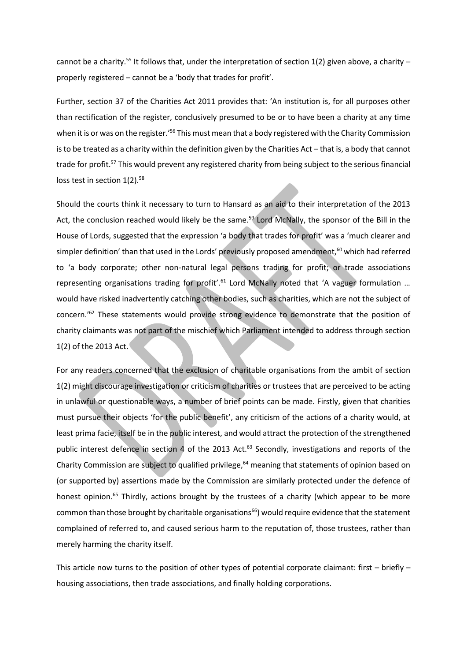cannot be a charity.<sup>55</sup> It follows that, under the interpretation of section 1(2) given above, a charity – properly registered – cannot be a 'body that trades for profit'.

Further, section 37 of the Charities Act 2011 provides that: 'An institution is, for all purposes other than rectification of the register, conclusively presumed to be or to have been a charity at any time when it is or was on the register.<sup>'56</sup> This must mean that a body registered with the Charity Commission is to be treated as a charity within the definition given by the Charities Act - that is, a body that cannot trade for profit.<sup>57</sup> This would prevent any registered charity from being subject to the serious financial loss test in section 1(2).<sup>58</sup>

Should the courts think it necessary to turn to Hansard as an aid to their interpretation of the 2013 Act, the conclusion reached would likely be the same.<sup>59</sup> Lord McNally, the sponsor of the Bill in the House of Lords, suggested that the expression 'a body that trades for profit' was a 'much clearer and simpler definition' than that used in the Lords' previously proposed amendment,<sup>60</sup> which had referred to 'a body corporate; other non-natural legal persons trading for profit; or trade associations representing organisations trading for profit'.<sup>61</sup> Lord McNally noted that 'A vaguer formulation ... would have risked inadvertently catching other bodies, such as charities, which are not the subject of concern.<sup>762</sup> These statements would provide strong evidence to demonstrate that the position of charity claimants was not part of the mischief which Parliament intended to address through section 1(2) of the 2013 Act.

For any readers concerned that the exclusion of charitable organisations from the ambit of section 1(2) might discourage investigation or criticism of charities or trustees that are perceived to be acting in unlawful or questionable ways, a number of brief points can be made. Firstly, given that charities must pursue their objects 'for the public benefit', any criticism of the actions of a charity would, at least prima facie, itself be in the public interest, and would attract the protection of the strengthened public interest defence in section 4 of the 2013 Act.<sup>63</sup> Secondly, investigations and reports of the Charity Commission are subject to qualified privilege,<sup>64</sup> meaning that statements of opinion based on (or supported by) assertions made by the Commission are similarly protected under the defence of honest opinion.<sup>65</sup> Thirdly, actions brought by the trustees of a charity (which appear to be more common than those brought by charitable organisations<sup>66</sup>) would require evidence that the statement complained of referred to, and caused serious harm to the reputation of, those trustees, rather than merely harming the charity itself.

This article now turns to the position of other types of potential corporate claimant: first  $-$  briefly  $$ housing associations, then trade associations, and finally holding corporations.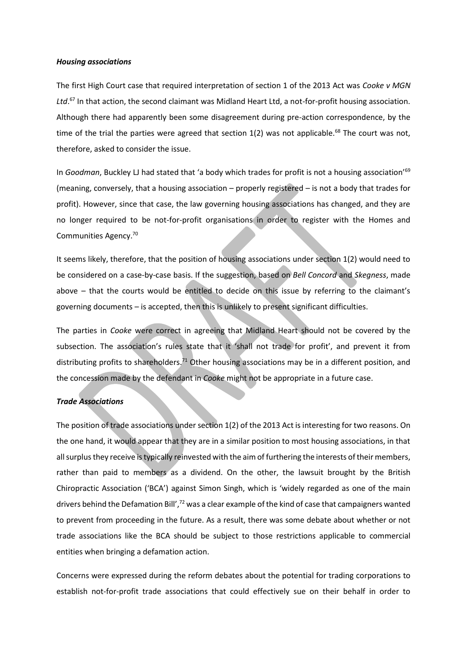#### *Housing associations*

The first High Court case that required interpretation of section 1 of the 2013 Act was *Cooke v MGN*  Ltd.<sup>67</sup> In that action, the second claimant was Midland Heart Ltd, a not-for-profit housing association. Although there had apparently been some disagreement during pre-action correspondence, by the time of the trial the parties were agreed that section  $1(2)$  was not applicable.<sup>68</sup> The court was not, therefore, asked to consider the issue.

In *Goodman*, Buckley LJ had stated that 'a body which trades for profit is not a housing association<sup>'69</sup> (meaning, conversely, that a housing association  $-$  properly registered  $-$  is not a body that trades for profit). However, since that case, the law governing housing associations has changed, and they are no longer required to be not-for-profit organisations in order to register with the Homes and Communities Agency.<sup>70</sup>

It seems likely, therefore, that the position of housing associations under section 1(2) would need to be considered on a case-by-case basis. If the suggestion, based on *Bell Concord* and *Skegness*, made above – that the courts would be entitled to decide on this issue by referring to the claimant's governing documents - is accepted, then this is unlikely to present significant difficulties.

The parties in *Cooke* were correct in agreeing that Midland Heart should not be covered by the subsection. The association's rules state that it 'shall not trade for profit', and prevent it from distributing profits to shareholders.<sup>71</sup> Other housing associations may be in a different position, and the concession made by the defendant in *Cooke* might not be appropriate in a future case.

#### *Trade Associations*

The position of trade associations under section 1(2) of the 2013 Act is interesting for two reasons. On the one hand, it would appear that they are in a similar position to most housing associations, in that all surplus they receive is typically reinvested with the aim of furthering the interests of their members, rather than paid to members as a dividend. On the other, the lawsuit brought by the British Chiropractic Association ('BCA') against Simon Singh, which is 'widely regarded as one of the main drivers behind the Defamation Bill',<sup>72</sup> was a clear example of the kind of case that campaigners wanted to prevent from proceeding in the future. As a result, there was some debate about whether or not trade associations like the BCA should be subject to those restrictions applicable to commercial entities when bringing a defamation action.

Concerns were expressed during the reform debates about the potential for trading corporations to establish not-for-profit trade associations that could effectively sue on their behalf in order to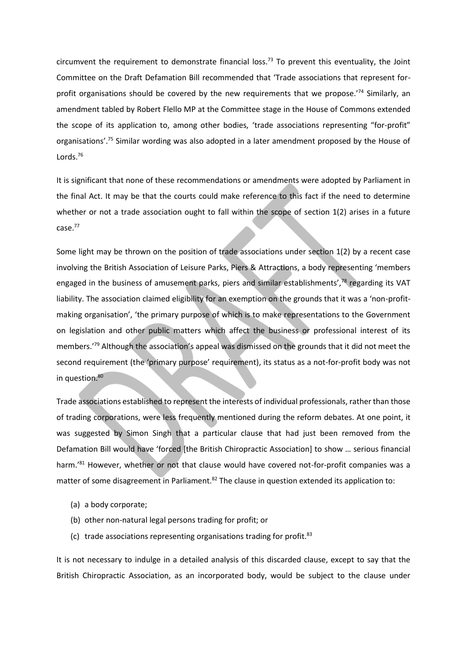circumvent the requirement to demonstrate financial loss.<sup>73</sup> To prevent this eventuality, the Joint Committee on the Draft Defamation Bill recommended that 'Trade associations that represent forprofit organisations should be covered by the new requirements that we propose.<sup>74</sup> Similarly, an amendment tabled by Robert Flello MP at the Committee stage in the House of Commons extended the scope of its application to, among other bodies, 'trade associations representing "for-profit" organisations'.<sup>75</sup> Similar wording was also adopted in a later amendment proposed by the House of Lords.<sup>76</sup>

It is significant that none of these recommendations or amendments were adopted by Parliament in the final Act. It may be that the courts could make reference to this fact if the need to determine whether or not a trade association ought to fall within the scope of section 1(2) arises in a future case.<sup>77</sup>

Some light may be thrown on the position of trade associations under section 1(2) by a recent case involving the British Association of Leisure Parks, Piers & Attractions, a body representing 'members engaged in the business of amusement parks, piers and similar establishments',<sup>78</sup> regarding its VAT liability. The association claimed eligibility for an exemption on the grounds that it was a 'non-profitmaking organisation', 'the primary purpose of which is to make representations to the Government on legislation and other public matters which affect the business or professional interest of its members.<sup>79</sup> Although the association's appeal was dismissed on the grounds that it did not meet the second requirement (the 'primary purpose' requirement), its status as a not-for-profit body was not in question.<sup>80</sup>

Trade associations established to represent the interests of individual professionals, rather than those of trading corporations, were less frequently mentioned during the reform debates. At one point, it was suggested by Simon Singh that a particular clause that had just been removed from the Defamation Bill would have 'forced [the British Chiropractic Association] to show ... serious financial harm.'81 However, whether or not that clause would have covered not-for-profit companies was a matter of some disagreement in Parliament.<sup>82</sup> The clause in question extended its application to:

- (a) a body corporate;
- (b) other non-natural legal persons trading for profit; or
- (c) trade associations representing organisations trading for profit.<sup>83</sup>

It is not necessary to indulge in a detailed analysis of this discarded clause, except to say that the British Chiropractic Association, as an incorporated body, would be subject to the clause under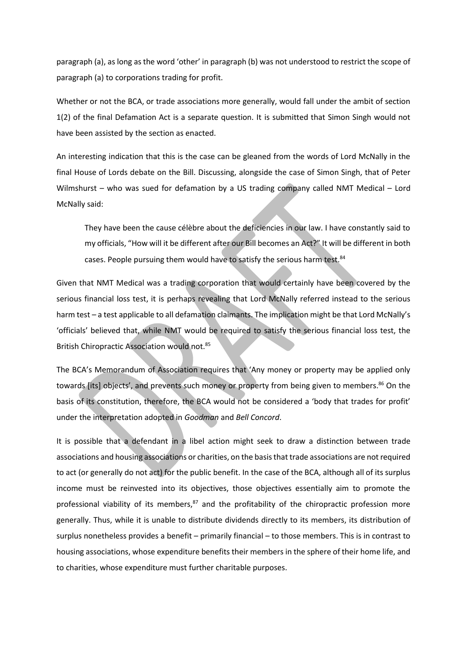paragraph (a), as long as the word 'other' in paragraph (b) was not understood to restrict the scope of paragraph (a) to corporations trading for profit.

Whether or not the BCA, or trade associations more generally, would fall under the ambit of section 1(2) of the final Defamation Act is a separate question. It is submitted that Simon Singh would not have been assisted by the section as enacted.

An interesting indication that this is the case can be gleaned from the words of Lord McNally in the final House of Lords debate on the Bill. Discussing, alongside the case of Simon Singh, that of Peter Wilmshurst – who was sued for defamation by a US trading company called NMT Medical – Lord McNally said:

They have been the cause célèbre about the deficiencies in our law. I have constantly said to my officials, "How will it be different after our Bill becomes an Act?" It will be different in both cases. People pursuing them would have to satisfy the serious harm test.<sup>84</sup>

Given that NMT Medical was a trading corporation that would certainly have been covered by the serious financial loss test, it is perhaps revealing that Lord McNally referred instead to the serious harm test - a test applicable to all defamation claimants. The implication might be that Lord McNally's 'officials' believed that, while NMT would be required to satisfy the serious financial loss test, the British Chiropractic Association would not.<sup>85</sup>

The BCA's Memorandum of Association requires that 'Any money or property may be applied only towards [its] objects', and prevents such money or property from being given to members.<sup>86</sup> On the basis of its constitution, therefore, the BCA would not be considered a 'body that trades for profit' under the interpretation adopted in *Goodman* and *Bell Concord*.

It is possible that a defendant in a libel action might seek to draw a distinction between trade associations and housing associations or charities, on the basis that trade associations are not required to act (or generally do not act) for the public benefit. In the case of the BCA, although all of its surplus income must be reinvested into its objectives, those objectives essentially aim to promote the professional viability of its members, $87$  and the profitability of the chiropractic profession more generally. Thus, while it is unable to distribute dividends directly to its members, its distribution of surplus nonetheless provides a benefit - primarily financial - to those members. This is in contrast to housing associations, whose expenditure benefits their members in the sphere of their home life, and to charities, whose expenditure must further charitable purposes.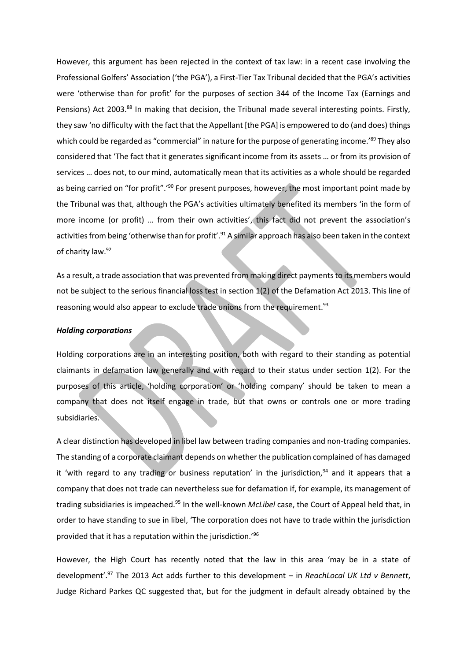However, this argument has been rejected in the context of tax law: in a recent case involving the Professional Golfers' Association ('the PGA'), a First-Tier Tax Tribunal decided that the PGA's activities were 'otherwise than for profit' for the purposes of section 344 of the Income Tax (Earnings and Pensions) Act 2003.<sup>88</sup> In making that decision, the Tribunal made several interesting points. Firstly, they saw 'no difficulty with the fact that the Appellant [the PGA] is empowered to do (and does) things which could be regarded as "commercial" in nature for the purpose of generating income.'<sup>89</sup> They also considered that 'The fact that it generates significant income from its assets ... or from its provision of services ... does not, to our mind, automatically mean that its activities as a whole should be regarded as being carried on "for profit".<sup>190</sup> For present purposes, however, the most important point made by the Tribunal was that, although the PGA's activities ultimately benefited its members 'in the form of more income (or profit) ... from their own activities', this fact did not prevent the association's activities from being 'otherwise than for profit'.<sup>91</sup> A similar approach has also been taken in the context of charity law.<sup>92</sup>

As a result, a trade association that was prevented from making direct payments to its members would not be subject to the serious financial loss test in section 1(2) of the Defamation Act 2013. This line of reasoning would also appear to exclude trade unions from the requirement.<sup>93</sup>

#### *Holding corporations*

Holding corporations are in an interesting position, both with regard to their standing as potential claimants in defamation law generally and with regard to their status under section 1(2). For the purposes of this article, 'holding corporation' or 'holding company' should be taken to mean a company that does not itself engage in trade, but that owns or controls one or more trading subsidiaries.

A clear distinction has developed in libel law between trading companies and non-trading companies. The standing of a corporate claimant depends on whether the publication complained of has damaged it 'with regard to any trading or business reputation' in the jurisdiction,<sup>94</sup> and it appears that a company that does not trade can nevertheless sue for defamation if, for example, its management of trading subsidiaries is impeached.<sup>95</sup> In the well-known *McLibel* case, the Court of Appeal held that, in order to have standing to sue in libel, 'The corporation does not have to trade within the jurisdiction provided that it has a reputation within the jurisdiction.<sup>196</sup>

However, the High Court has recently noted that the law in this area 'may be in a state of development'.<sup>97</sup> The 2013 Act adds further to this development - in *ReachLocal UK Ltd v Bennett*, Judge Richard Parkes QC suggested that, but for the judgment in default already obtained by the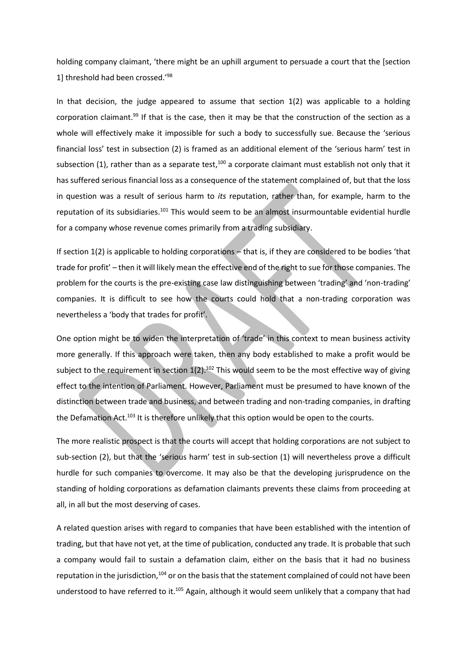holding company claimant, 'there might be an uphill argument to persuade a court that the [section] 1] threshold had been crossed.'<sup>98</sup>

In that decision, the judge appeared to assume that section  $1(2)$  was applicable to a holding corporation claimant.<sup>99</sup> If that is the case, then it may be that the construction of the section as a whole will effectively make it impossible for such a body to successfully sue. Because the 'serious financial loss' test in subsection (2) is framed as an additional element of the 'serious harm' test in subsection (1), rather than as a separate test,<sup>100</sup> a corporate claimant must establish not only that it has suffered serious financial loss as a consequence of the statement complained of, but that the loss in question was a result of serious harm to *its* reputation, rather than, for example, harm to the reputation of its subsidiaries.<sup>101</sup> This would seem to be an almost insurmountable evidential hurdle for a company whose revenue comes primarily from a trading subsidiary.

If section 1(2) is applicable to holding corporations - that is, if they are considered to be bodies 'that trade for profit' - then it will likely mean the effective end of the right to sue for those companies. The problem for the courts is the pre-existing case law distinguishing between 'trading' and 'non-trading' companies. It is difficult to see how the courts could hold that a non-trading corporation was nevertheless a 'body that trades for profit'.

One option might be to widen the interpretation of 'trade' in this context to mean business activity more generally. If this approach were taken, then any body established to make a profit would be subject to the requirement in section  $1(2)$ .<sup>102</sup> This would seem to be the most effective way of giving effect to the intention of Parliament. However, Parliament must be presumed to have known of the distinction between trade and business, and between trading and non-trading companies, in drafting the Defamation Act.<sup>103</sup> It is therefore unlikely that this option would be open to the courts.

The more realistic prospect is that the courts will accept that holding corporations are not subject to sub-section (2), but that the 'serious harm' test in sub-section (1) will nevertheless prove a difficult hurdle for such companies to overcome. It may also be that the developing jurisprudence on the standing of holding corporations as defamation claimants prevents these claims from proceeding at all, in all but the most deserving of cases.

A related question arises with regard to companies that have been established with the intention of trading, but that have not yet, at the time of publication, conducted any trade. It is probable that such a company would fail to sustain a defamation claim, either on the basis that it had no business reputation in the jurisdiction,<sup>104</sup> or on the basis that the statement complained of could not have been understood to have referred to it.<sup>105</sup> Again, although it would seem unlikely that a company that had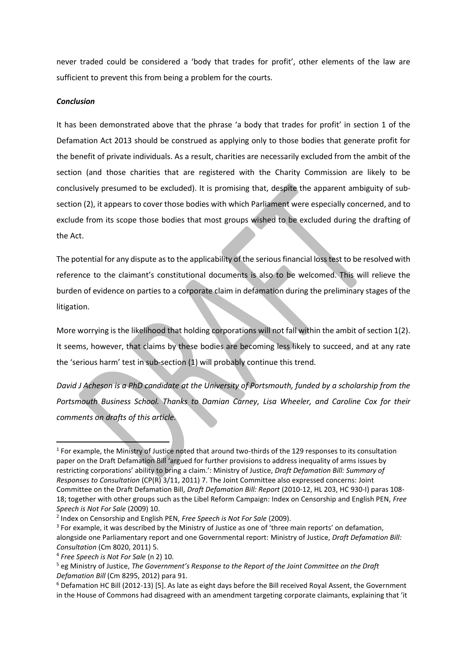never traded could be considered a 'body that trades for profit', other elements of the law are sufficient to prevent this from being a problem for the courts.

#### *Conclusion*

It has been demonstrated above that the phrase 'a body that trades for profit' in section 1 of the Defamation Act 2013 should be construed as applying only to those bodies that generate profit for the benefit of private individuals. As a result, charities are necessarily excluded from the ambit of the section (and those charities that are registered with the Charity Commission are likely to be conclusively presumed to be excluded). It is promising that, despite the apparent ambiguity of subsection (2), it appears to cover those bodies with which Parliament were especially concerned, and to exclude from its scope those bodies that most groups wished to be excluded during the drafting of the Act.

The potential for any dispute as to the applicability of the serious financial loss test to be resolved with reference to the claimant's constitutional documents is also to be welcomed. This will relieve the burden of evidence on parties to a corporate claim in defamation during the preliminary stages of the litigation.

More worrying is the likelihood that holding corporations will not fall within the ambit of section 1(2). It seems, however, that claims by these bodies are becoming less likely to succeed, and at any rate the 'serious harm' test in sub-section (1) will probably continue this trend.

*David J Acheson is a PhD candidate at the University of Portsmouth, funded by a scholarship from the Portsmouth Business School. Thanks to Damian Carney, Lisa Wheeler, and Caroline Cox for their comments on drafts of this article.* 

-

<sup>&</sup>lt;sup>1</sup> For example, the Ministry of Justice noted that around two-thirds of the 129 responses to its consultation paper on the Draft Defamation Bill 'argued for further provisions to address inequality of arms issues by restricting corporations' ability to bring a claim.': Ministry of Justice, *Draft Defamation Bill: Summary of Responses to Consultation* (CP(R) 3/11, 2011) 7. The Joint Committee also expressed concerns: Joint Committee on the Draft Defamation Bill, *Draft Defamation Bill: Report* (2010-12, HL 203, HC 930-I) paras 108- 18; together with other groups such as the Libel Reform Campaign: Index on Censorship and English PEN, *Free Speech is Not For Sale* (2009) 10.

<sup>2</sup> Index on Censorship and English PEN, *Free Speech is Not For Sale* (2009).

<sup>&</sup>lt;sup>3</sup> For example, it was described by the Ministry of Justice as one of 'three main reports' on defamation, alongside one Parliamentary report and one Governmental report: Ministry of Justice, *Draft Defamation Bill: Consultation* (Cm 8020, 2011) 5.

<sup>4</sup> *Free Speech is Not For Sale* (n 2) 10.

<sup>&</sup>lt;sup>5</sup> eg Ministry of Justice, *The Government's Response to the Report of the Joint Committee on the Draft Defamation Bill* (Cm 8295, 2012) para 91.

<sup>&</sup>lt;sup>6</sup> Defamation HC Bill (2012-13) [5]. As late as eight days before the Bill received Royal Assent, the Government in the House of Commons had disagreed with an amendment targeting corporate claimants, explaining that 'it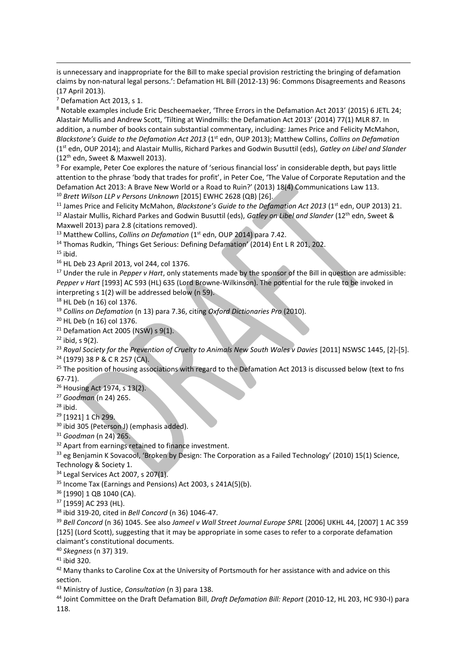is unnecessary and inappropriate for the Bill to make special provision restricting the bringing of defamation claims by non-natural legal persons.': Defamation HL Bill (2012-13) 96: Commons Disagreements and Reasons (17 April 2013).

7 Defamation Act 2013, s 1.

8 Notable examples include Eric Descheemaeker, 'Three Errors in the Defamation Act 2013' (2015) 6 JETL 24; Alastair Mullis and Andrew Scott, 'Tilting at Windmills: the Defamation Act 2013' (2014) 77(1) MLR 87. In addition, a number of books contain substantial commentary, including: James Price and Felicity McMahon, *Blackstone's Guide to the Defamation Act 2013* (1<sup>st</sup> edn, OUP 2013); Matthew Collins, *Collins on Defamation* (1st edn, OUP 2014); and Alastair Mullis, Richard Parkes and Godwin Busuttil (eds), *Gatley on Libel and Slander*  (12th edn, Sweet & Maxwell 2013).

<sup>9</sup> For example, Peter Coe explores the nature of 'serious financial loss' in considerable depth, but pays little attention to the phrase 'body that trades for profit', in Peter Coe, 'The Value of Corporate Reputation and the Defamation Act 2013: A Brave New World or a Road to Ruin?' (2013) 18(4) Communications Law 113.

<sup>10</sup> *Brett Wilson LLP v Persons Unknown* [2015] EWHC 2628 (QB) [26].

<sup>11</sup> James Price and Felicity McMahon, *Blackstone's Guide to the Defamation Act 2013* (1<sup>st</sup> edn, OUP 2013) 21. <sup>12</sup> Alastair Mullis, Richard Parkes and Godwin Busuttil (eds), *Gatley on Libel and Slander* (12th edn, Sweet &

Maxwell 2013) para 2.8 (citations removed).

<sup>13</sup> Matthew Collins, *Collins on Defamation* (1<sup>st</sup> edn, OUP 2014) para 7.42.

<sup>14</sup> Thomas Rudkin, 'Things Get Serious: Defining Defamation' (2014) Ent L R 201, 202.

 $15$  ibid.

<u>.</u>

<sup>16</sup> HL Deb 23 April 2013, vol 244, col 1376.

<sup>17</sup> Under the rule in *Pepper v Hart*, only statements made by the sponsor of the Bill in question are admissible: *Pepper v Hart* [1993] AC 593 (HL) 635 (Lord Browne-Wilkinson). The potential for the rule to be invoked in interpreting s 1(2) will be addressed below (n 59).

<sup>18</sup> HL Deb (n 16) col 1376.

<sup>19</sup> *Collins on Defamation* (n 13) para 7.36, citing *Oxford Dictionaries Pro* (2010).

<sup>20</sup> HL Deb (n 16) col 1376.

 $21$  Defamation Act 2005 (NSW) s 9(1).

 $22$  ibid, s 9(2).

<sup>23</sup> Royal Society for the Prevention of Cruelty to Animals New South Wales v Davies [2011] NSWSC 1445, [2]-[5]. <sup>24</sup> (1979) 38 P & C R 257 (CA).

<sup>25</sup> The position of housing associations with regard to the Defamation Act 2013 is discussed below (text to fns 67-71).

<sup>26</sup> Housing Act 1974, s 13(2).

<sup>27</sup> *Goodman* (n 24) 265.

 $28$  ibid.

<sup>29</sup> [1921] 1 Ch 299.

<sup>30</sup> ibid 305 (Peterson J) (emphasis added).

<sup>31</sup> *Goodman* (n 24) 265.

<sup>32</sup> Apart from earnings retained to finance investment.

33 eg Benjamin K Sovacool, 'Broken by Design: The Corporation as a Failed Technology' (2010) 15(1) Science, Technology & Society 1.

<sup>34</sup> Legal Services Act 2007, s 207(1).

<sup>35</sup> Income Tax (Earnings and Pensions) Act 2003, s 241A(5)(b).

<sup>36</sup> [1990] 1 QB 1040 (CA).

<sup>37</sup> [1959] AC 293 (HL).

<sup>38</sup> ibid 319-20, cited in *Bell Concord* (n 36) 1046-47.

<sup>39</sup> *Bell Concord* (n 36) 1045. See also *Jameel v Wall Street Journal Europe SPRL* [2006] UKHL 44, [2007] 1 AC 359 [125] (Lord Scott), suggesting that it may be appropriate in some cases to refer to a corporate defamation claimant's constitutional documents.

<sup>40</sup> *Skegness* (n 37) 319.

<sup>41</sup> ibid 320.

<sup>42</sup> Many thanks to Caroline Cox at the University of Portsmouth for her assistance with and advice on this section.

<sup>43</sup> Ministry of Justice, *Consultation* (n 3) para 138.

<sup>44</sup> Joint Committee on the Draft Defamation Bill, *Draft Defamation Bill: Report* (2010-12, HL 203, HC 930-I) para 118.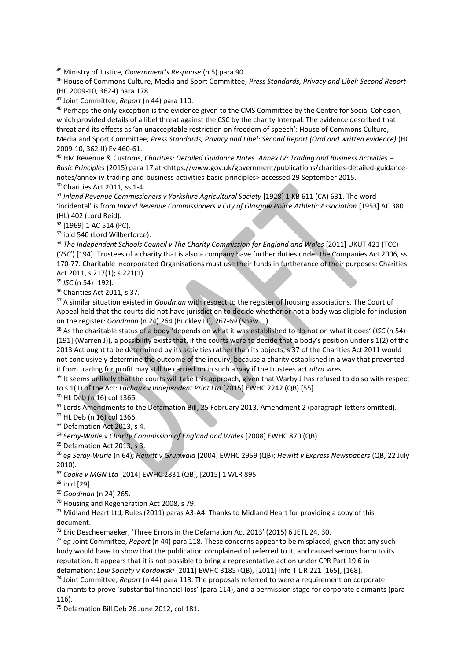<sup>45</sup> Ministry of Justice, *Government's Response* (n 5) para 90.

<sup>46</sup> House of Commons Culture, Media and Sport Committee, *Press Standards, Privacy and Libel: Second Report*  (HC 2009-10, 362-I) para 178.

<sup>47</sup> Joint Committee, *Report* (n 44) para 110.

<sup>48</sup> Perhaps the only exception is the evidence given to the CMS Committee by the Centre for Social Cohesion, which provided details of a libel threat against the CSC by the charity Interpal. The evidence described that threat and its effects as 'an unacceptable restriction on freedom of speech': House of Commons Culture, Media and Sport Committee, *Press Standards, Privacy and Libel: Second Report (Oral and written evidence)* (HC 2009-10, 362-II) Ev 460-61.

<sup>49</sup> HM Revenue & Customs, *Charities: Detailed Guidance Notes. Annex IV: Trading and Business Activities に* Basic Principles (2015) para 17 at <https://www.gov.uk/government/publications/charities-detailed-guidancenotes/annex-iv-trading-and-business-activities-basic-principles> accessed 29 September 2015. <sup>50</sup> Charities Act 2011, ss 1-4.

<sup>51</sup> Inland Revenue Commissioners v Yorkshire Agricultural Society [1928] 1 KB 611 (CA) 631. The word 'incidental' is from *Inland Revenue Commissioners v City of Glasgow Police Athletic Association* [1953] AC 380 (HL) 402 (Lord Reid).

<sup>52</sup> [1969] 1 AC 514 (PC).

<u>.</u>

<sup>53</sup> ibid 540 (Lord Wilberforce).

<sup>54</sup> The Independent Schools Council v The Charity Commission for England and Wales [2011] UKUT 421 (TCC) *I'ISC'* [194]. Trustees of a charity that is also a company have further duties under the Companies Act 2006, ss 170-77. Charitable Incorporated Organisations must use their funds in furtherance of their purposes: Charities Act 2011, s 217(1); s 221(1).

<sup>55</sup> *ISC* (n 54) [192].

<sup>56</sup> Charities Act 2011, s 37.

<sup>57</sup> A similar situation existed in *Goodman* with respect to the register of housing associations. The Court of Appeal held that the courts did not have jurisdiction to decide whether or not a body was eligible for inclusion on the register: *Goodman* (n 24) 264 (Buckley LJ), 267-69 (Shaw LJ).

58 As the charitable status of a body 'depends on what it was established to do not on what it does' (ISC (n 54) [191] (Warren J)), a possibility exists that, if the courts were to decide that a body's position under s 1(2) of the 2013 Act ought to be determined by its activities rather than its objects, s 37 of the Charities Act 2011 would not conclusively determine the outcome of the inquiry, because a charity established in a way that prevented it from trading for profit may still be carried on in such a way if the trustees act *ultra vires*.

<sup>59</sup> It seems unlikely that the courts will take this approach, given that Warby J has refused to do so with respect to s 1(1) of the Act: *Lachaux v Independent Print Ltd* [2015] EWHC 2242 (QB) [55].

<sup>60</sup> HL Deb (n 16) col 1366.

<sup>61</sup> Lords Amendments to the Defamation Bill, 25 February 2013, Amendment 2 (paragraph letters omitted).

<sup>62</sup> HL Deb (n 16) col 1366.

<sup>63</sup> Defamation Act 2013, s 4.

<sup>64</sup> *Seray-Wurie v Charity Commission of England and Wales* [2008] EWHC 870 (QB).

<sup>65</sup> Defamation Act 2013, s 3.

<sup>66</sup> eg *Seray-Wurie* (n 64); *Hewitt v Grunwald* [2004] EWHC 2959 (QB); *Hewitt v Express Newspapers* (QB, 22 July 2010).

<sup>67</sup> *Cooke v MGN Ltd* [2014] EWHC 2831 (QB), [2015] 1 WLR 895.

<sup>68</sup> ibid [29].

<sup>69</sup> *Goodman* (n 24) 265.

<sup>70</sup> Housing and Regeneration Act 2008, s 79.

 $71$  Midland Heart Ltd, Rules (2011) paras A3-A4. Thanks to Midland Heart for providing a copy of this document.

 $72$  Eric Descheemaeker, 'Three Errors in the Defamation Act 2013' (2015) 6 JETL 24, 30.

<sup>73</sup> eg Joint Committee, *Report* (n 44) para 118. These concerns appear to be misplaced, given that any such body would have to show that the publication complained of referred to it, and caused serious harm to its reputation. It appears that it is not possible to bring a representative action under CPR Part 19.6 in defamation: *Law Society v Kordowski* [2011] EWHC 3185 (QB), [2011] Info T L R 221 [165], [168].

<sup>74</sup> Joint Committee, *Report* (n 44) para 118. The proposals referred to were a requirement on corporate claimants to prove 'substantial financial loss' (para 114), and a permission stage for corporate claimants (para 116).

<sup>75</sup> Defamation Bill Deb 26 June 2012, col 181.